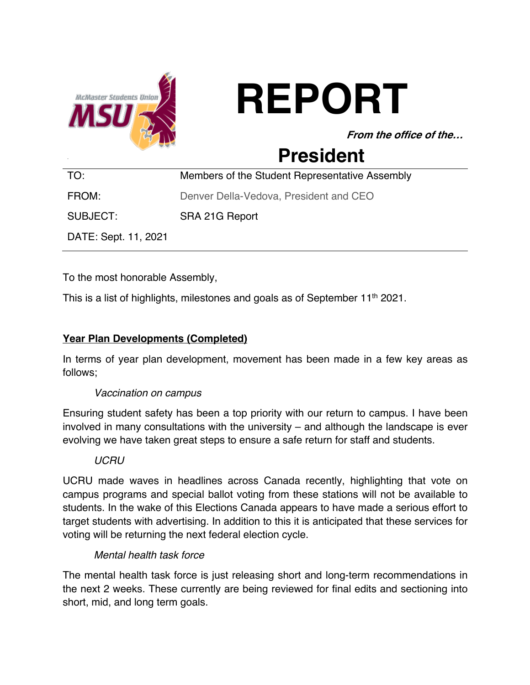

# **REPORT**

**From the office of the…**

# **President**

| TO:                  | Members of the Student Representative Assembly |
|----------------------|------------------------------------------------|
| FROM:                | Denver Della-Vedova, President and CEO         |
| SUBJECT:             | SRA 21G Report                                 |
| DATE: Sept. 11, 2021 |                                                |

To the most honorable Assembly,

This is a list of highlights, milestones and goals as of September 11<sup>th</sup> 2021.

# **Year Plan Developments (Completed)**

In terms of year plan development, movement has been made in a few key areas as follows;

#### *Vaccination on campus*

Ensuring student safety has been a top priority with our return to campus. I have been involved in many consultations with the university – and although the landscape is ever evolving we have taken great steps to ensure a safe return for staff and students.

#### *UCRU*

UCRU made waves in headlines across Canada recently, highlighting that vote on campus programs and special ballot voting from these stations will not be available to students. In the wake of this Elections Canada appears to have made a serious effort to target students with advertising. In addition to this it is anticipated that these services for voting will be returning the next federal election cycle.

#### *Mental health task force*

The mental health task force is just releasing short and long-term recommendations in the next 2 weeks. These currently are being reviewed for final edits and sectioning into short, mid, and long term goals.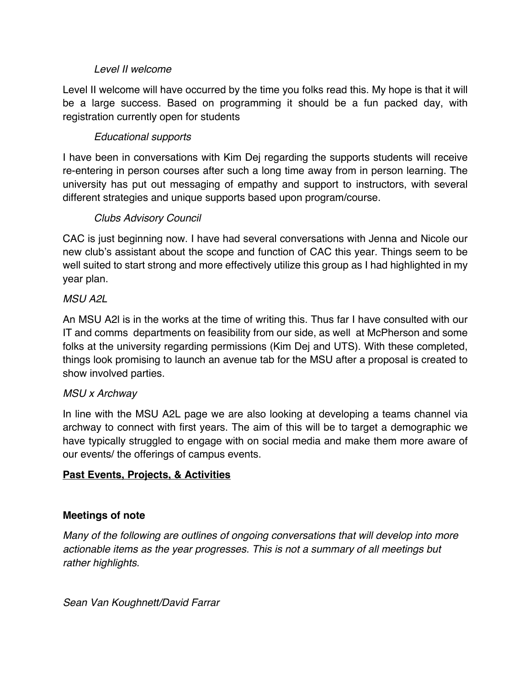#### *Level II welcome*

Level II welcome will have occurred by the time you folks read this. My hope is that it will be a large success. Based on programming it should be a fun packed day, with registration currently open for students

#### *Educational supports*

I have been in conversations with Kim Dej regarding the supports students will receive re-entering in person courses after such a long time away from in person learning. The university has put out messaging of empathy and support to instructors, with several different strategies and unique supports based upon program/course.

## *Clubs Advisory Council*

CAC is just beginning now. I have had several conversations with Jenna and Nicole our new club's assistant about the scope and function of CAC this year. Things seem to be well suited to start strong and more effectively utilize this group as I had highlighted in my year plan.

#### *MSU A2L*

An MSU A2l is in the works at the time of writing this. Thus far I have consulted with our IT and comms departments on feasibility from our side, as well at McPherson and some folks at the university regarding permissions (Kim Dej and UTS). With these completed, things look promising to launch an avenue tab for the MSU after a proposal is created to show involved parties.

#### *MSU x Archway*

In line with the MSU A2L page we are also looking at developing a teams channel via archway to connect with first years. The aim of this will be to target a demographic we have typically struggled to engage with on social media and make them more aware of our events/ the offerings of campus events.

#### **Past Events, Projects, & Activities**

#### **Meetings of note**

*Many of the following are outlines of ongoing conversations that will develop into more actionable items as the year progresses. This is not a summary of all meetings but rather highlights.*

*Sean Van Koughnett/David Farrar*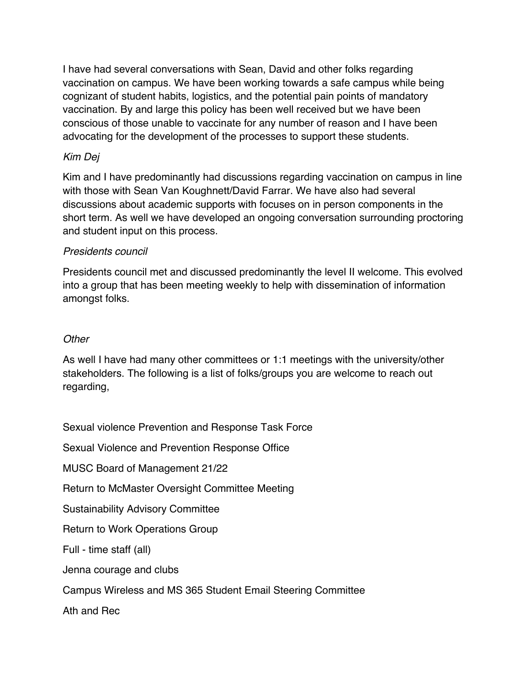I have had several conversations with Sean, David and other folks regarding vaccination on campus. We have been working towards a safe campus while being cognizant of student habits, logistics, and the potential pain points of mandatory vaccination. By and large this policy has been well received but we have been conscious of those unable to vaccinate for any number of reason and I have been advocating for the development of the processes to support these students.

#### *Kim Dej*

Kim and I have predominantly had discussions regarding vaccination on campus in line with those with Sean Van Koughnett/David Farrar. We have also had several discussions about academic supports with focuses on in person components in the short term. As well we have developed an ongoing conversation surrounding proctoring and student input on this process.

#### *Presidents council*

Presidents council met and discussed predominantly the level II welcome. This evolved into a group that has been meeting weekly to help with dissemination of information amongst folks.

## *Other*

As well I have had many other committees or 1:1 meetings with the university/other stakeholders. The following is a list of folks/groups you are welcome to reach out regarding,

Sexual violence Prevention and Response Task Force

Sexual Violence and Prevention Response Office

MUSC Board of Management 21/22

Return to McMaster Oversight Committee Meeting

Sustainability Advisory Committee

Return to Work Operations Group

Full - time staff (all)

Jenna courage and clubs

Campus Wireless and MS 365 Student Email Steering Committee

Ath and Rec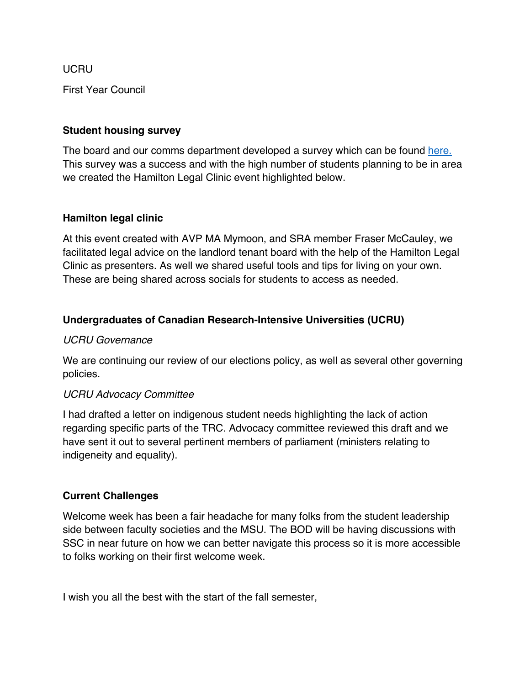UCRU

First Year Council

#### **Student housing survey**

The board and our comms department developed a survey which can be found here. This survey was a success and with the high number of students planning to be in area we created the Hamilton Legal Clinic event highlighted below.

#### **Hamilton legal clinic**

At this event created with AVP MA Mymoon, and SRA member Fraser McCauley, we facilitated legal advice on the landlord tenant board with the help of the Hamilton Legal Clinic as presenters. As well we shared useful tools and tips for living on your own. These are being shared across socials for students to access as needed.

#### **Undergraduates of Canadian Research-Intensive Universities (UCRU)**

#### *UCRU Governance*

We are continuing our review of our elections policy, as well as several other governing policies.

#### *UCRU Advocacy Committee*

I had drafted a letter on indigenous student needs highlighting the lack of action regarding specific parts of the TRC. Advocacy committee reviewed this draft and we have sent it out to several pertinent members of parliament (ministers relating to indigeneity and equality).

#### **Current Challenges**

Welcome week has been a fair headache for many folks from the student leadership side between faculty societies and the MSU. The BOD will be having discussions with SSC in near future on how we can better navigate this process so it is more accessible to folks working on their first welcome week.

I wish you all the best with the start of the fall semester,